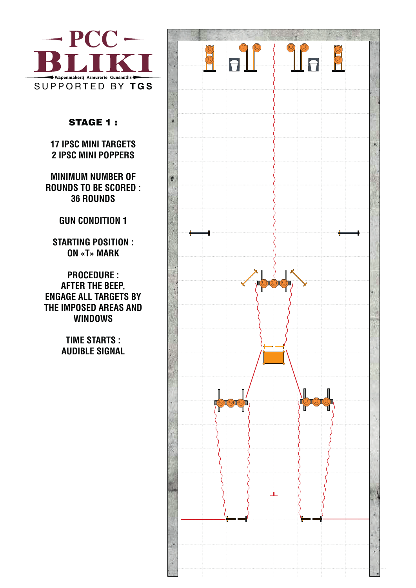

## STAGE 1 :

**17 IPSC MINI TARGETS 2 IPSC MINI POPPERS** 

**MINIMUM NUMBER OF ROUNDS TO BE SCORED : 36 ROUNDS**

## **GUN CONDITION 1**

**STARTING POSITION : ON «T» MARK**

**PROCEDURE : AFTER THE BEEP, ENGAGE ALL TARGETS BY THE IMPOSED AREAS AND WINDOWS**

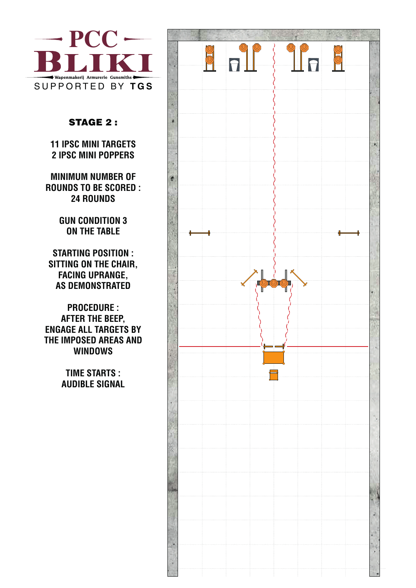

## STAGE 2 :

**11 IPSC MINI TARGETS 2 IPSC MINI POPPERS** 

**MINIMUM NUMBER OF ROUNDS TO BE SCORED : 24 ROUNDS**

#### **GUN CONDITION 3 ON THE TABLE**

**STARTING POSITION : SITTING ON THE CHAIR, FACING UPRANGE, AS DEMONSTRATED**

**PROCEDURE : AFTER THE BEEP, ENGAGE ALL TARGETS BY THE IMPOSED AREAS AND WINDOWS**

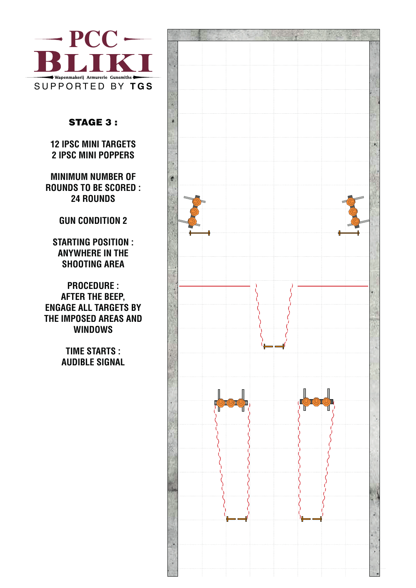

## STAGE 3 :

**12 IPSC MINI TARGETS 2 IPSC MINI POPPERS** 

**MINIMUM NUMBER OF ROUNDS TO BE SCORED : 24 ROUNDS**

# **GUN CONDITION 2**

**STARTING POSITION : ANYWHERE IN THE SHOOTING AREA**

**PROCEDURE : AFTER THE BEEP, ENGAGE ALL TARGETS BY THE IMPOSED AREAS AND WINDOWS**

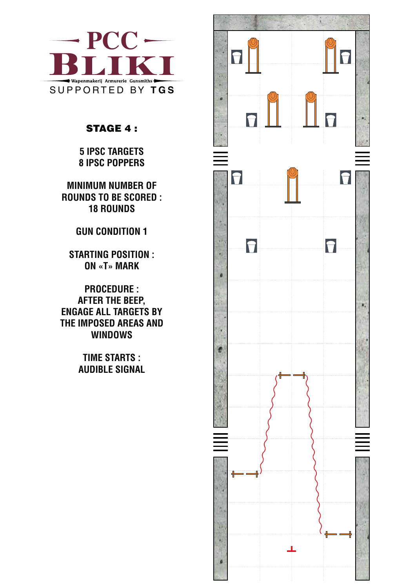

# STAGE 4 :

**5 IPSC TARGETS 8 IPSC POPPERS** 

**MINIMUM NUMBER OF ROUNDS TO BE SCORED : 18 ROUNDS**

# **GUN CONDITION 1**

**STARTING POSITION : ON «T» MARK**

**PROCEDURE : AFTER THE BEEP, ENGAGE ALL TARGETS BY THE IMPOSED AREAS AND WINDOWS**